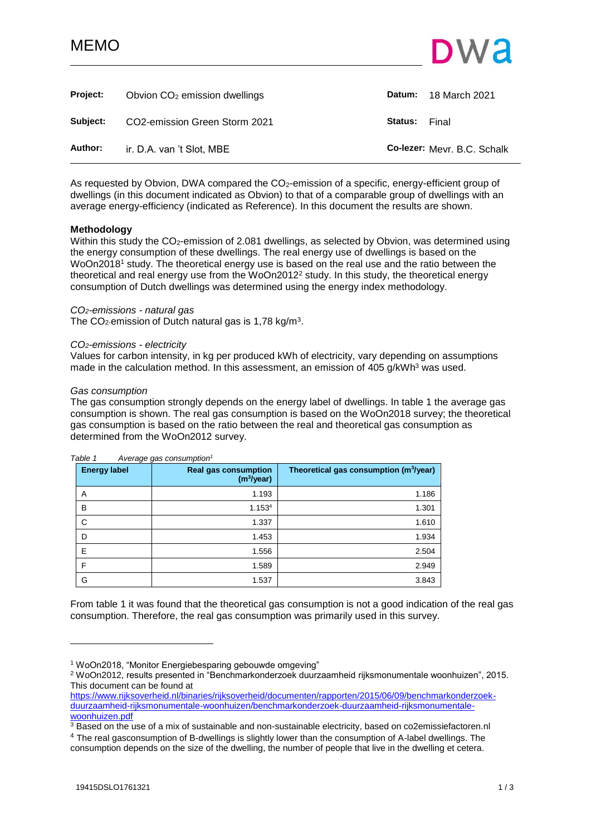# MEMO



<span id="page-0-0"></span>

| Project: | Obvion $CO2$ emission dwellings |         | Datum: 18 March 2021        |
|----------|---------------------------------|---------|-----------------------------|
| Subject: | CO2-emission Green Storm 2021   | Status: | Final                       |
| Author:  | ir. D.A. van 't Slot, MBE       |         | Co-lezer: Mevr. B.C. Schalk |

As requested by Obvion, DWA compared the CO<sub>2</sub>-emission of a specific, energy-efficient group of dwellings (in this document indicated as Obvion) to that of a comparable group of dwellings with an average energy-efficiency (indicated as Reference). In this document the results are shown.

### **Methodology**

Within this study the CO<sub>2</sub>-emission of 2.081 dwellings, as selected by Obvion, was determined using the energy consumption of these dwellings. The real energy use of dwellings is based on the WoOn2018<sup>1</sup> study. The theoretical energy use is based on the real use and the ratio between the theoretical and real energy use from the WoOn2012<sup>2</sup> study. In this study, the theoretical energy consumption of Dutch dwellings was determined using the energy index methodology.

### *CO2-emissions - natural gas*

The CO<sub>2</sub>-emission of Dutch natural gas is 1,78 kg/m<sup>3</sup>.

### *CO2-emissions - electricity*

Values for carbon intensity, in kg per produced kWh of electricity, vary depending on assumptions made in the calculation method. In this assessment, an emission of  $405$  g/kWh<sup>3</sup> was used.

### *Gas consumption*

The gas consumption strongly depends on the energy label of dwellings. In table 1 the average gas consumption is shown. The real gas consumption is based on the WoOn2018 survey; the theoretical gas consumption is based on the ratio between the real and theoretical gas consumption as determined from the WoOn2012 survey.

| <b>Energy label</b> | <b>Real gas consumption</b><br>(m <sup>3</sup> /year) | Theoretical gas consumption (m <sup>3</sup> /year) |
|---------------------|-------------------------------------------------------|----------------------------------------------------|
| A                   | 1.193                                                 | 1.186                                              |
| B                   | 1.153 <sup>4</sup>                                    | 1.301                                              |
| C                   | 1.337                                                 | 1.610                                              |
| D                   | 1.453                                                 | 1.934                                              |
| E                   | 1.556                                                 | 2.504                                              |
| F                   | 1.589                                                 | 2.949                                              |
| G                   | 1.537                                                 | 3.843                                              |

### *Table 1 Average gas consumption<sup>1</sup>*

From table 1 it was found that the theoretical gas consumption is not a good indication of the real gas consumption. Therefore, the real gas consumption was primarily used in this survey.

l

<sup>1</sup> WoOn2018, "Monitor Energiebesparing gebouwde omgeving"

<sup>2</sup> WoOn2012, results presented in "Benchmarkonderzoek duurzaamheid rijksmonumentale woonhuizen", 2015. This document can be found at

[https://www.rijksoverheid.nl/binaries/rijksoverheid/documenten/rapporten/2015/06/09/benchmarkonderzoek](https://www.rijksoverheid.nl/binaries/rijksoverheid/documenten/rapporten/2015/06/09/benchmarkonderzoek-duurzaamheid-rijksmonumentale-woonhuizen/benchmarkonderzoek-duurzaamheid-rijksmonumentale-woonhuizen.pdf)[duurzaamheid-rijksmonumentale-woonhuizen/benchmarkonderzoek-duurzaamheid-rijksmonumentale](https://www.rijksoverheid.nl/binaries/rijksoverheid/documenten/rapporten/2015/06/09/benchmarkonderzoek-duurzaamheid-rijksmonumentale-woonhuizen/benchmarkonderzoek-duurzaamheid-rijksmonumentale-woonhuizen.pdf)[woonhuizen.pdf](https://www.rijksoverheid.nl/binaries/rijksoverheid/documenten/rapporten/2015/06/09/benchmarkonderzoek-duurzaamheid-rijksmonumentale-woonhuizen/benchmarkonderzoek-duurzaamheid-rijksmonumentale-woonhuizen.pdf)

 $3$  Based on the use of a mix of sustainable and non-sustainable electricity, based on co2emissiefactoren.nl

<sup>4</sup> The real gasconsumption of B-dwellings is slightly lower than the consumption of A-label dwellings. The consumption depends on the size of the dwelling, the number of people that live in the dwelling et cetera.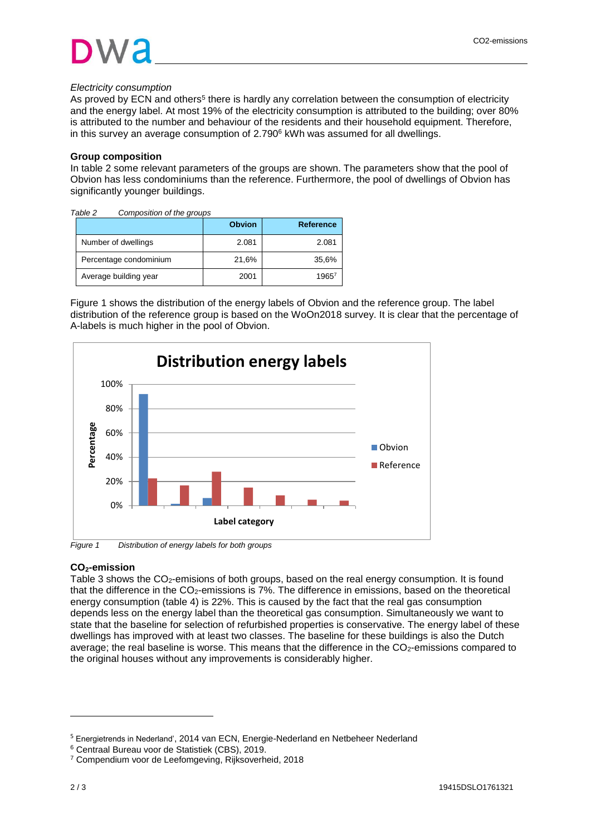### *Electricity consumption*

As proved by ECN and others<sup>5</sup> there is hardly any correlation between the consumption of electricity and the energy label. At most 19% of the electricity consumption is attributed to the building; over 80% is attributed to the number and behaviour of the residents and their household equipment. Therefore, in this survey an average consumption of  $2.790<sup>6</sup>$  kWh was assumed for all dwellings.

### **Group composition**

In table 2 some relevant parameters of the groups are shown. The parameters show that the pool of Obvion has less condominiums than the reference. Furthermore, the pool of dwellings of Obvion has significantly younger buildings.

| Table 2                | Composition of the groups |               |                  |
|------------------------|---------------------------|---------------|------------------|
|                        |                           | <b>Obvion</b> | <b>Reference</b> |
| Number of dwellings    |                           | 2.081         | 2.081            |
| Percentage condominium |                           | 21,6%         | 35,6%            |
| Average building year  |                           | 2001          | $1965^7$         |

Figure 1 shows the distribution of the energy labels of Obvion and the reference group. The label distribution of the reference group is based on the WoOn2018 survey. It is clear that the percentage of A-labels is much higher in the pool of Obvion.



## **CO2-emission**

Table 3 shows the CO<sub>2</sub>-emisions of both groups, based on the real energy consumption. It is found that the difference in the CO2-emissions is 7%. The difference in emissions, based on the theoretical energy consumption (table 4) is 22%. This is caused by the fact that the real gas consumption depends less on the energy label than the theoretical gas consumption. Simultaneously we want to state that the baseline for selection of refurbished properties is conservative. The energy label of these dwellings has improved with at least two classes. The baseline for these buildings is also the Dutch average; the real baseline is worse. This means that the difference in the CO<sub>2</sub>-emissions compared to the original houses without any improvements is considerably higher.

l

<sup>5</sup> Energietrends in Nederland', 2014 van ECN, Energie-Nederland en Netbeheer Nederland

<sup>6</sup> Centraal Bureau voor de Statistiek (CBS), 2019.

<sup>7</sup> Compendium voor de Leefomgeving, Rijksoverheid, 2018